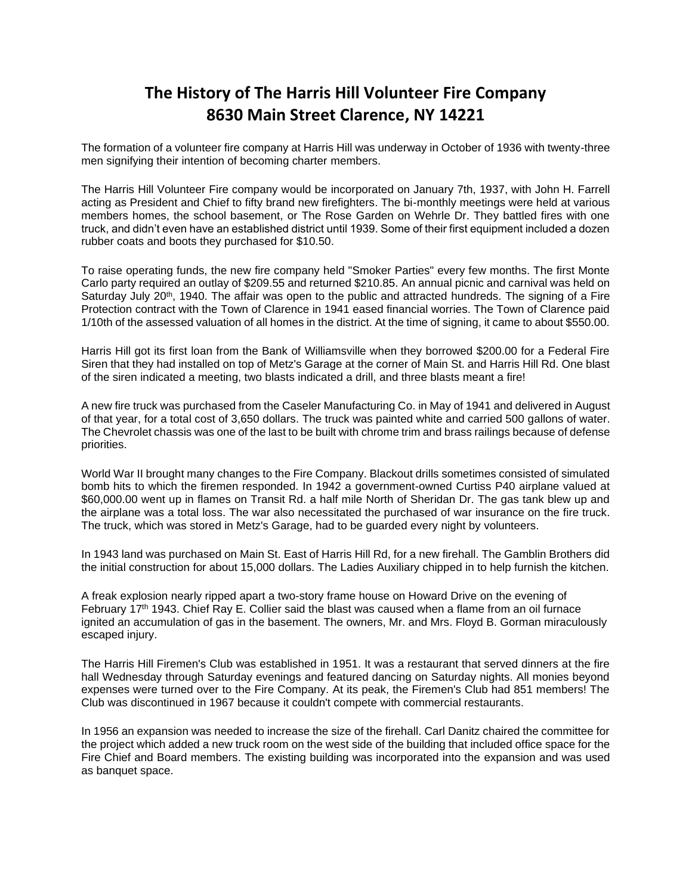## **The History of The Harris Hill Volunteer Fire Company 8630 Main Street Clarence, NY 14221**

The formation of a volunteer fire company at Harris Hill was underway in October of 1936 with twenty-three men signifying their intention of becoming charter members.

The Harris Hill Volunteer Fire company would be incorporated on January 7th, 1937, with John H. Farrell acting as President and Chief to fifty brand new firefighters. The bi-monthly meetings were held at various members homes, the school basement, or The Rose Garden on Wehrle Dr. They battled fires with one truck, and didn't even have an established district until 1939. Some of their first equipment included a dozen rubber coats and boots they purchased for \$10.50.

To raise operating funds, the new fire company held "Smoker Parties" every few months. The first Monte Carlo party required an outlay of \$209.55 and returned \$210.85. An annual picnic and carnival was held on Saturday July 20<sup>th</sup>, 1940. The affair was open to the public and attracted hundreds. The signing of a Fire Protection contract with the Town of Clarence in 1941 eased financial worries. The Town of Clarence paid 1/10th of the assessed valuation of all homes in the district. At the time of signing, it came to about \$550.00.

Harris Hill got its first loan from the Bank of Williamsville when they borrowed \$200.00 for a Federal Fire Siren that they had installed on top of Metz's Garage at the corner of Main St. and Harris Hill Rd. One blast of the siren indicated a meeting, two blasts indicated a drill, and three blasts meant a fire!

A new fire truck was purchased from the Caseler Manufacturing Co. in May of 1941 and delivered in August of that year, for a total cost of 3,650 dollars. The truck was painted white and carried 500 gallons of water. The Chevrolet chassis was one of the last to be built with chrome trim and brass railings because of defense priorities.

World War II brought many changes to the Fire Company. Blackout drills sometimes consisted of simulated bomb hits to which the firemen responded. In 1942 a government-owned Curtiss P40 airplane valued at \$60,000.00 went up in flames on Transit Rd. a half mile North of Sheridan Dr. The gas tank blew up and the airplane was a total loss. The war also necessitated the purchased of war insurance on the fire truck. The truck, which was stored in Metz's Garage, had to be guarded every night by volunteers.

In 1943 land was purchased on Main St. East of Harris Hill Rd, for a new firehall. The Gamblin Brothers did the initial construction for about 15,000 dollars. The Ladies Auxiliary chipped in to help furnish the kitchen.

A freak explosion nearly ripped apart a two-story frame house on Howard Drive on the evening of February 17<sup>th</sup> 1943. Chief Ray E. Collier said the blast was caused when a flame from an oil furnace ignited an accumulation of gas in the basement. The owners, Mr. and Mrs. Floyd B. Gorman miraculously escaped injury.

The Harris Hill Firemen's Club was established in 1951. It was a restaurant that served dinners at the fire hall Wednesday through Saturday evenings and featured dancing on Saturday nights. All monies beyond expenses were turned over to the Fire Company. At its peak, the Firemen's Club had 851 members! The Club was discontinued in 1967 because it couldn't compete with commercial restaurants.

In 1956 an expansion was needed to increase the size of the firehall. Carl Danitz chaired the committee for the project which added a new truck room on the west side of the building that included office space for the Fire Chief and Board members. The existing building was incorporated into the expansion and was used as banquet space.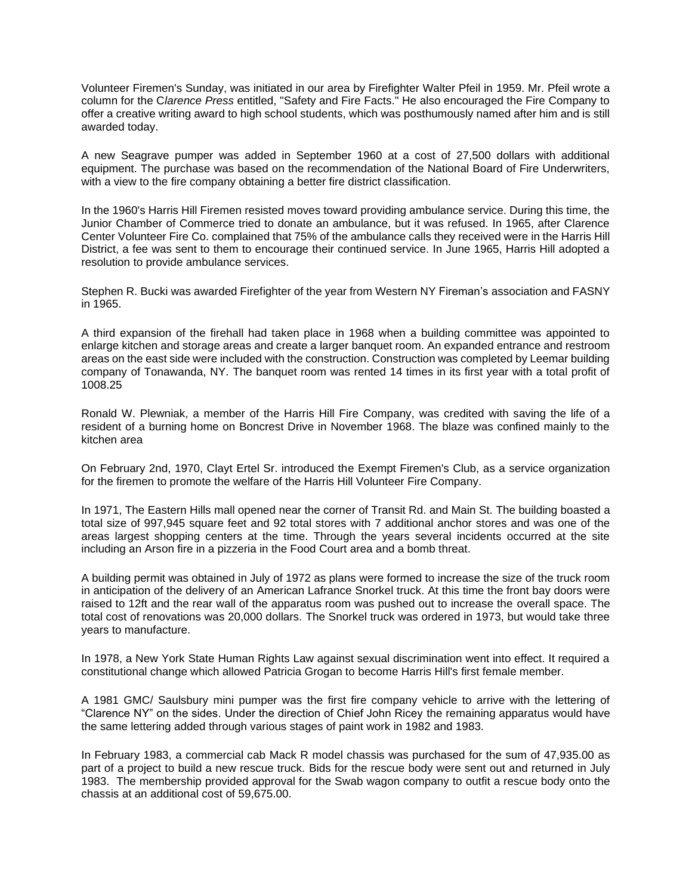Volunteer Firemen's Sunday, was initiated in our area by Firefighter Walter Pfeil in 1959. Mr. Pfeil wrote a column for the C*larence Press* entitled, "Safety and Fire Facts." He also encouraged the Fire Company to offer a creative writing award to high school students, which was posthumously named after him and is still awarded today.

A new Seagrave pumper was added in September 1960 at a cost of 27,500 dollars with additional equipment. The purchase was based on the recommendation of the National Board of Fire Underwriters, with a view to the fire company obtaining a better fire district classification.

In the 1960's Harris Hill Firemen resisted moves toward providing ambulance service. During this time, the Junior Chamber of Commerce tried to donate an ambulance, but it was refused. In 1965, after Clarence Center Volunteer Fire Co. complained that 75% of the ambulance calls they received were in the Harris Hill District, a fee was sent to them to encourage their continued service. In June 1965, Harris Hill adopted a resolution to provide ambulance services.

Stephen R. Bucki was awarded Firefighter of the year from Western NY Fireman's association and FASNY in 1965.

A third expansion of the firehall had taken place in 1968 when a building committee was appointed to enlarge kitchen and storage areas and create a larger banquet room. An expanded entrance and restroom areas on the east side were included with the construction. Construction was completed by Leemar building company of Tonawanda, NY. The banquet room was rented 14 times in its first year with a total profit of 1008.25

Ronald W. Plewniak, a member of the Harris Hill Fire Company, was credited with saving the life of a resident of a burning home on Boncrest Drive in November 1968. The blaze was confined mainly to the kitchen area

On February 2nd, 1970, Clayt Ertel Sr. introduced the Exempt Firemen's Club, as a service organization for the firemen to promote the welfare of the Harris Hill Volunteer Fire Company.

In 1971, The Eastern Hills mall opened near the corner of Transit Rd. and Main St. The building boasted a total size of 997,945 square feet and 92 total stores with 7 additional anchor stores and was one of the areas largest shopping centers at the time. Through the years several incidents occurred at the site including an Arson fire in a pizzeria in the Food Court area and a bomb threat.

A building permit was obtained in July of 1972 as plans were formed to increase the size of the truck room in anticipation of the delivery of an American Lafrance Snorkel truck. At this time the front bay doors were raised to 12ft and the rear wall of the apparatus room was pushed out to increase the overall space. The total cost of renovations was 20,000 dollars. The Snorkel truck was ordered in 1973, but would take three years to manufacture.

In 1978, a New York State Human Rights Law against sexual discrimination went into effect. It required a constitutional change which allowed Patricia Grogan to become Harris Hill's first female member.

A 1981 GMC/ Saulsbury mini pumper was the first fire company vehicle to arrive with the lettering of "Clarence NY" on the sides. Under the direction of Chief John Ricey the remaining apparatus would have the same lettering added through various stages of paint work in 1982 and 1983.

In February 1983, a commercial cab Mack R model chassis was purchased for the sum of 47,935.00 as part of a project to build a new rescue truck. Bids for the rescue body were sent out and returned in July 1983. The membership provided approval for the Swab wagon company to outfit a rescue body onto the chassis at an additional cost of 59,675.00.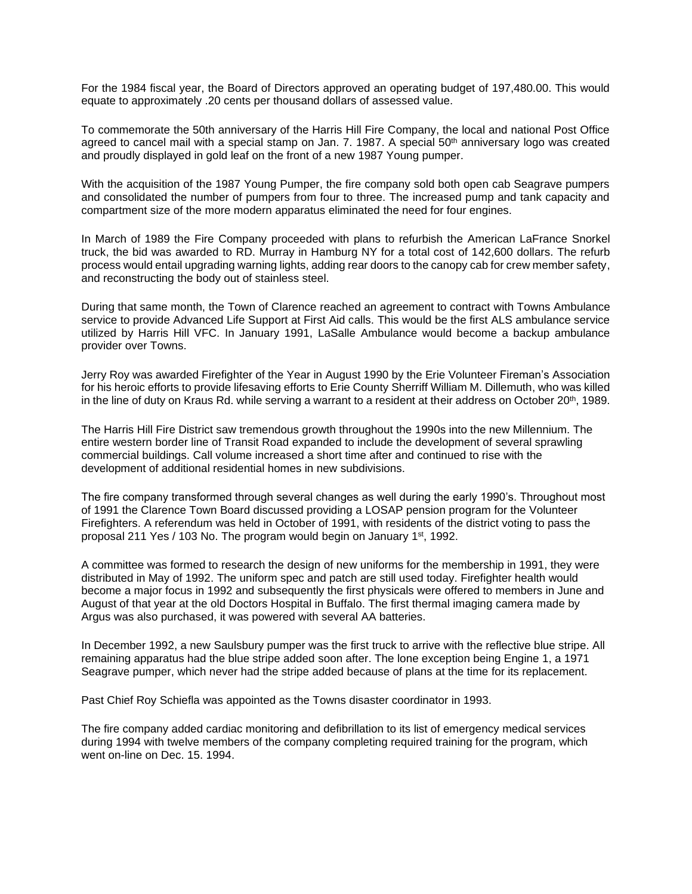For the 1984 fiscal year, the Board of Directors approved an operating budget of 197,480.00. This would equate to approximately .20 cents per thousand dollars of assessed value.

To commemorate the 50th anniversary of the Harris Hill Fire Company, the local and national Post Office agreed to cancel mail with a special stamp on Jan. 7. 1987. A special 50<sup>th</sup> anniversary logo was created and proudly displayed in gold leaf on the front of a new 1987 Young pumper.

With the acquisition of the 1987 Young Pumper, the fire company sold both open cab Seagrave pumpers and consolidated the number of pumpers from four to three. The increased pump and tank capacity and compartment size of the more modern apparatus eliminated the need for four engines.

In March of 1989 the Fire Company proceeded with plans to refurbish the American LaFrance Snorkel truck, the bid was awarded to RD. Murray in Hamburg NY for a total cost of 142,600 dollars. The refurb process would entail upgrading warning lights, adding rear doors to the canopy cab for crew member safety, and reconstructing the body out of stainless steel.

During that same month, the Town of Clarence reached an agreement to contract with Towns Ambulance service to provide Advanced Life Support at First Aid calls. This would be the first ALS ambulance service utilized by Harris Hill VFC. In January 1991, LaSalle Ambulance would become a backup ambulance provider over Towns.

Jerry Roy was awarded Firefighter of the Year in August 1990 by the Erie Volunteer Fireman's Association for his heroic efforts to provide lifesaving efforts to Erie County Sherriff William M. Dillemuth, who was killed in the line of duty on Kraus Rd. while serving a warrant to a resident at their address on October 20<sup>th</sup>, 1989.

The Harris Hill Fire District saw tremendous growth throughout the 1990s into the new Millennium. The entire western border line of Transit Road expanded to include the development of several sprawling commercial buildings. Call volume increased a short time after and continued to rise with the development of additional residential homes in new subdivisions.

The fire company transformed through several changes as well during the early 1990's. Throughout most of 1991 the Clarence Town Board discussed providing a LOSAP pension program for the Volunteer Firefighters. A referendum was held in October of 1991, with residents of the district voting to pass the proposal 211 Yes / 103 No. The program would begin on January 1<sup>st</sup>, 1992.

A committee was formed to research the design of new uniforms for the membership in 1991, they were distributed in May of 1992. The uniform spec and patch are still used today. Firefighter health would become a major focus in 1992 and subsequently the first physicals were offered to members in June and August of that year at the old Doctors Hospital in Buffalo. The first thermal imaging camera made by Argus was also purchased, it was powered with several AA batteries.

In December 1992, a new Saulsbury pumper was the first truck to arrive with the reflective blue stripe. All remaining apparatus had the blue stripe added soon after. The lone exception being Engine 1, a 1971 Seagrave pumper, which never had the stripe added because of plans at the time for its replacement.

Past Chief Roy Schiefla was appointed as the Towns disaster coordinator in 1993.

The fire company added cardiac monitoring and defibrillation to its list of emergency medical services during 1994 with twelve members of the company completing required training for the program, which went on-line on Dec. 15. 1994.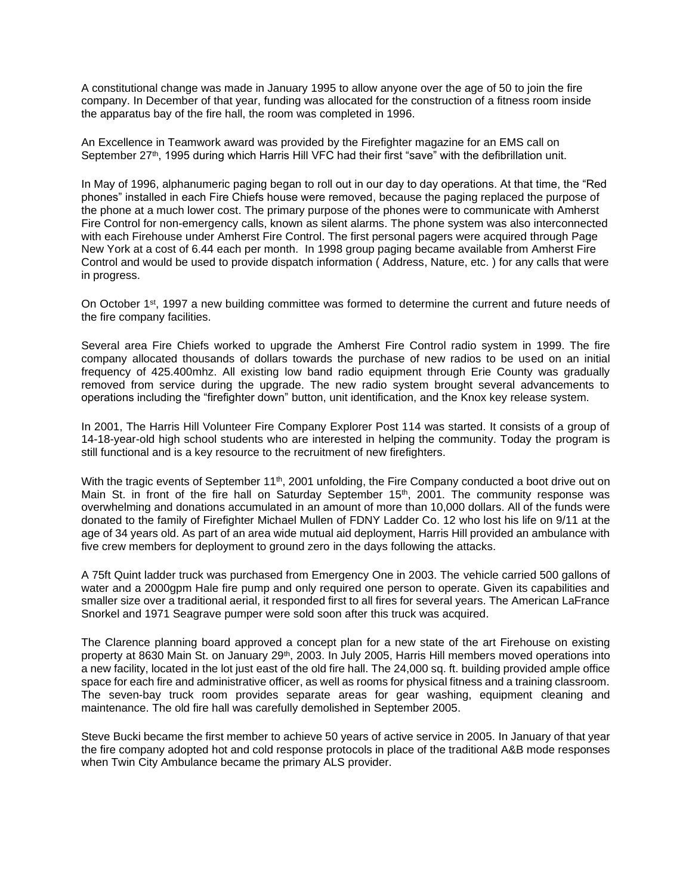A constitutional change was made in January 1995 to allow anyone over the age of 50 to join the fire company. In December of that year, funding was allocated for the construction of a fitness room inside the apparatus bay of the fire hall, the room was completed in 1996.

An Excellence in Teamwork award was provided by the Firefighter magazine for an EMS call on September 27<sup>th</sup>, 1995 during which Harris Hill VFC had their first "save" with the defibrillation unit.

In May of 1996, alphanumeric paging began to roll out in our day to day operations. At that time, the "Red phones" installed in each Fire Chiefs house were removed, because the paging replaced the purpose of the phone at a much lower cost. The primary purpose of the phones were to communicate with Amherst Fire Control for non-emergency calls, known as silent alarms. The phone system was also interconnected with each Firehouse under Amherst Fire Control. The first personal pagers were acquired through Page New York at a cost of 6.44 each per month. In 1998 group paging became available from Amherst Fire Control and would be used to provide dispatch information ( Address, Nature, etc. ) for any calls that were in progress.

On October 1<sup>st</sup>, 1997 a new building committee was formed to determine the current and future needs of the fire company facilities.

Several area Fire Chiefs worked to upgrade the Amherst Fire Control radio system in 1999. The fire company allocated thousands of dollars towards the purchase of new radios to be used on an initial frequency of 425.400mhz. All existing low band radio equipment through Erie County was gradually removed from service during the upgrade. The new radio system brought several advancements to operations including the "firefighter down" button, unit identification, and the Knox key release system.

In 2001, The Harris Hill Volunteer Fire Company Explorer Post 114 was started. It consists of a group of 14-18-year-old high school students who are interested in helping the community. Today the program is still functional and is a key resource to the recruitment of new firefighters.

With the tragic events of September  $11<sup>th</sup>$ , 2001 unfolding, the Fire Company conducted a boot drive out on Main St. in front of the fire hall on Saturday September  $15<sup>th</sup>$ , 2001. The community response was overwhelming and donations accumulated in an amount of more than 10,000 dollars. All of the funds were donated to the family of Firefighter Michael Mullen of FDNY Ladder Co. 12 who lost his life on 9/11 at the age of 34 years old. As part of an area wide mutual aid deployment, Harris Hill provided an ambulance with five crew members for deployment to ground zero in the days following the attacks.

A 75ft Quint ladder truck was purchased from Emergency One in 2003. The vehicle carried 500 gallons of water and a 2000gpm Hale fire pump and only required one person to operate. Given its capabilities and smaller size over a traditional aerial, it responded first to all fires for several years. The American LaFrance Snorkel and 1971 Seagrave pumper were sold soon after this truck was acquired.

The Clarence planning board approved a concept plan for a new state of the art Firehouse on existing property at 8630 Main St. on January 29<sup>th</sup>, 2003. In July 2005, Harris Hill members moved operations into a new facility, located in the lot just east of the old fire hall. The 24,000 sq. ft. building provided ample office space for each fire and administrative officer, as well as rooms for physical fitness and a training classroom. The seven-bay truck room provides separate areas for gear washing, equipment cleaning and maintenance. The old fire hall was carefully demolished in September 2005.

Steve Bucki became the first member to achieve 50 years of active service in 2005. In January of that year the fire company adopted hot and cold response protocols in place of the traditional A&B mode responses when Twin City Ambulance became the primary ALS provider.